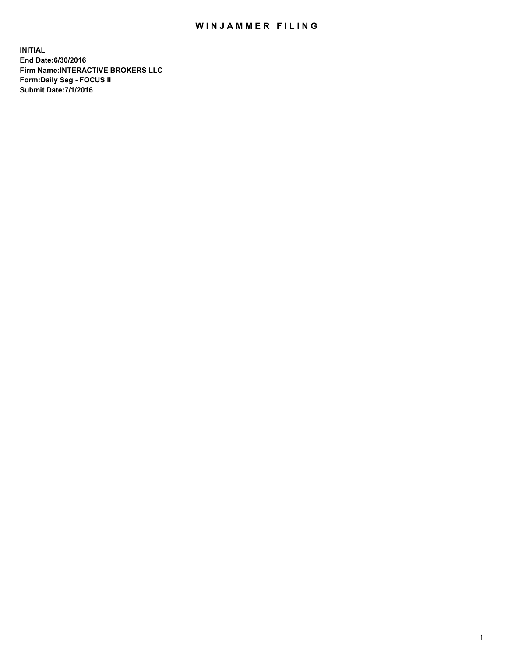## WIN JAMMER FILING

**INITIAL End Date:6/30/2016 Firm Name:INTERACTIVE BROKERS LLC Form:Daily Seg - FOCUS II Submit Date:7/1/2016**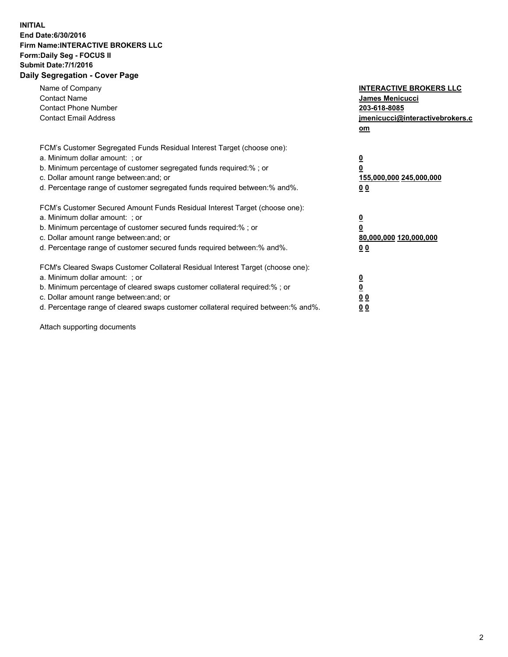## **INITIAL End Date:6/30/2016 Firm Name:INTERACTIVE BROKERS LLC Form:Daily Seg - FOCUS II Submit Date:7/1/2016 Daily Segregation - Cover Page**

| Name of Company<br><b>Contact Name</b><br><b>Contact Phone Number</b><br><b>Contact Email Address</b>                                                                                                                                                                                                                          | <b>INTERACTIVE BROKERS LLC</b><br>James Menicucci<br>203-618-8085<br>jmenicucci@interactivebrokers.c<br>om |
|--------------------------------------------------------------------------------------------------------------------------------------------------------------------------------------------------------------------------------------------------------------------------------------------------------------------------------|------------------------------------------------------------------------------------------------------------|
| FCM's Customer Segregated Funds Residual Interest Target (choose one):<br>a. Minimum dollar amount: ; or<br>b. Minimum percentage of customer segregated funds required:% ; or<br>c. Dollar amount range between: and; or<br>d. Percentage range of customer segregated funds required between:% and%.                         | $\overline{\mathbf{0}}$<br>0<br>155,000,000 245,000,000<br>0 <sub>0</sub>                                  |
| FCM's Customer Secured Amount Funds Residual Interest Target (choose one):<br>a. Minimum dollar amount: ; or<br>b. Minimum percentage of customer secured funds required:%; or<br>c. Dollar amount range between: and; or<br>d. Percentage range of customer secured funds required between: % and %.                          | $\overline{\mathbf{0}}$<br>0<br>80,000,000 120,000,000<br>0 <sub>0</sub>                                   |
| FCM's Cleared Swaps Customer Collateral Residual Interest Target (choose one):<br>a. Minimum dollar amount: ; or<br>b. Minimum percentage of cleared swaps customer collateral required:% ; or<br>c. Dollar amount range between: and; or<br>d. Percentage range of cleared swaps customer collateral required between:% and%. | $\overline{\mathbf{0}}$<br>$\overline{\mathbf{0}}$<br>0 <sub>0</sub><br>0 <sub>0</sub>                     |

Attach supporting documents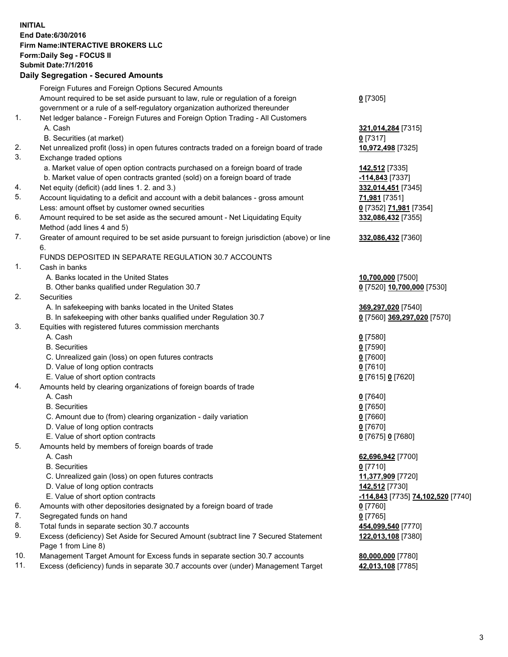## **INITIAL End Date:6/30/2016 Firm Name:INTERACTIVE BROKERS LLC Form:Daily Seg - FOCUS II Submit Date:7/1/2016 Daily Segregation - Secured Amounts**

| Dany Ocgregation - Oceanea Annoanta                                                         |                                                                                    |
|---------------------------------------------------------------------------------------------|------------------------------------------------------------------------------------|
| Foreign Futures and Foreign Options Secured Amounts                                         |                                                                                    |
| Amount required to be set aside pursuant to law, rule or regulation of a foreign            | $0$ [7305]                                                                         |
| government or a rule of a self-regulatory organization authorized thereunder                |                                                                                    |
| Net ledger balance - Foreign Futures and Foreign Option Trading - All Customers             |                                                                                    |
| A. Cash                                                                                     | 321,014,284 [7315]                                                                 |
| B. Securities (at market)                                                                   | $0$ [7317]                                                                         |
| Net unrealized profit (loss) in open futures contracts traded on a foreign board of trade   | 10,972,498 [7325]                                                                  |
| Exchange traded options                                                                     |                                                                                    |
| a. Market value of open option contracts purchased on a foreign board of trade              | 142,512 [7335]                                                                     |
| b. Market value of open contracts granted (sold) on a foreign board of trade                | <u>-114,843</u> [7337]                                                             |
| Net equity (deficit) (add lines 1.2. and 3.)                                                | 332,014,451 [7345]                                                                 |
| Account liquidating to a deficit and account with a debit balances - gross amount           | 71,981 [7351]                                                                      |
| Less: amount offset by customer owned securities                                            | 0 [7352] 71,981 [7354]                                                             |
| Amount required to be set aside as the secured amount - Net Liquidating Equity              | 332,086,432 [7355]                                                                 |
| Method (add lines 4 and 5)                                                                  |                                                                                    |
| Greater of amount required to be set aside pursuant to foreign jurisdiction (above) or line | 332,086,432 [7360]                                                                 |
| 6.                                                                                          |                                                                                    |
| FUNDS DEPOSITED IN SEPARATE REGULATION 30.7 ACCOUNTS                                        |                                                                                    |
| Cash in banks                                                                               |                                                                                    |
| A. Banks located in the United States                                                       | 10,700,000 [7500]                                                                  |
| B. Other banks qualified under Regulation 30.7                                              | 0 [7520] 10,700,000 [7530]                                                         |
| Securities                                                                                  |                                                                                    |
| A. In safekeeping with banks located in the United States                                   | 369,297,020 [7540]                                                                 |
| B. In safekeeping with other banks qualified under Regulation 30.7                          | 0 [7560] 369,297,020 [7570]                                                        |
| Equities with registered futures commission merchants                                       |                                                                                    |
| A. Cash                                                                                     | $0$ [7580]                                                                         |
| <b>B.</b> Securities                                                                        | $0$ [7590]                                                                         |
| C. Unrealized gain (loss) on open futures contracts                                         | $0$ [7600]                                                                         |
| D. Value of long option contracts                                                           | $0$ [7610]                                                                         |
| E. Value of short option contracts                                                          | 0 [7615] 0 [7620]                                                                  |
| Amounts held by clearing organizations of foreign boards of trade                           |                                                                                    |
| A. Cash                                                                                     | $0$ [7640]                                                                         |
| <b>B.</b> Securities                                                                        | $0$ [7650]                                                                         |
| C. Amount due to (from) clearing organization - daily variation                             | $0$ [7660]                                                                         |
| D. Value of long option contracts                                                           | $0$ [7670]                                                                         |
| E. Value of short option contracts                                                          | 0 [7675] 0 [7680]                                                                  |
| Amounts held by members of foreign boards of trade                                          |                                                                                    |
| A. Cash                                                                                     | 62,696,942 [7700]                                                                  |
| <b>B.</b> Securities                                                                        | $0$ [7710]                                                                         |
| C. Unrealized gain (loss) on open futures contracts                                         | 11,377,909 [7720]                                                                  |
| D. Value of long option contracts                                                           | 142,512 [7730]                                                                     |
| E. Value of short option contracts                                                          | -114,843 [7735] 74,102,520 [7740]                                                  |
| Amounts with other depositories designated by a foreign board of trade                      | 0 [7760]                                                                           |
| Segregated funds on hand                                                                    | $0$ [7765]                                                                         |
| Total funds in separate section 30.7 accounts                                               | 454,099,540 [7770]                                                                 |
| Excess (deficiency) Set Aside for Secured Amount (subtract line 7 Secured Statement         | 122,013,108 [7380]                                                                 |
| Page 1 from Line 8)                                                                         |                                                                                    |
| Management Target Amount for Excess funds in separate section 30.7 accounts                 | 80,000,000 [7780]                                                                  |
|                                                                                             | 42,013,108 [7785]                                                                  |
|                                                                                             | Excess (deficiency) funds in separate 30.7 accounts over (under) Management Target |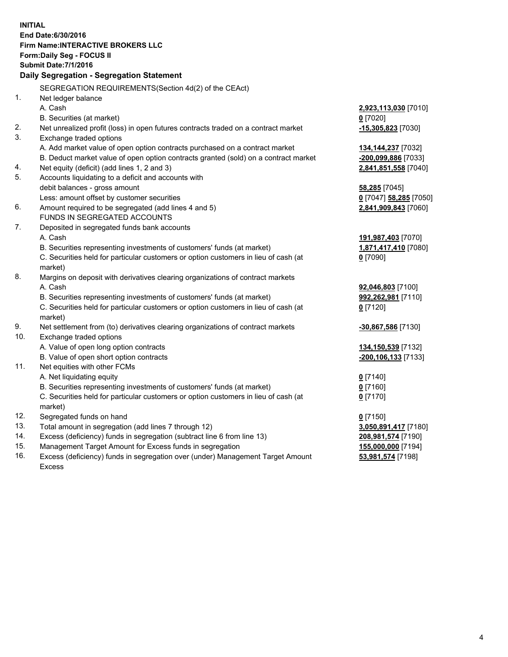**INITIAL End Date:6/30/2016 Firm Name:INTERACTIVE BROKERS LLC Form:Daily Seg - FOCUS II Submit Date:7/1/2016 Daily Segregation - Segregation Statement** SEGREGATION REQUIREMENTS(Section 4d(2) of the CEAct) 1. Net ledger balance A. Cash **2,923,113,030** [7010] B. Securities (at market) **0** [7020] 2. Net unrealized profit (loss) in open futures contracts traded on a contract market **-15,305,823** [7030] 3. Exchange traded options A. Add market value of open option contracts purchased on a contract market **134,144,237** [7032] B. Deduct market value of open option contracts granted (sold) on a contract market **-200,099,886** [7033] 4. Net equity (deficit) (add lines 1, 2 and 3) **2,841,851,558** [7040] 5. Accounts liquidating to a deficit and accounts with debit balances - gross amount **58,285** [7045] Less: amount offset by customer securities **0** [7047] **58,285** [7050] 6. Amount required to be segregated (add lines 4 and 5) **2,841,909,843** [7060] FUNDS IN SEGREGATED ACCOUNTS 7. Deposited in segregated funds bank accounts A. Cash **191,987,403** [7070] B. Securities representing investments of customers' funds (at market) **1,871,417,410** [7080] C. Securities held for particular customers or option customers in lieu of cash (at market) **0** [7090] 8. Margins on deposit with derivatives clearing organizations of contract markets A. Cash **92,046,803** [7100] B. Securities representing investments of customers' funds (at market) **992,262,981** [7110] C. Securities held for particular customers or option customers in lieu of cash (at market) **0** [7120] 9. Net settlement from (to) derivatives clearing organizations of contract markets **-30,867,586** [7130] 10. Exchange traded options A. Value of open long option contracts **134,150,539** [7132] B. Value of open short option contracts **-200,106,133** [7133] 11. Net equities with other FCMs A. Net liquidating equity **0** [7140] B. Securities representing investments of customers' funds (at market) **0** [7160] C. Securities held for particular customers or option customers in lieu of cash (at market) **0** [7170] 12. Segregated funds on hand **0** [7150] 13. Total amount in segregation (add lines 7 through 12) **3,050,891,417** [7180] 14. Excess (deficiency) funds in segregation (subtract line 6 from line 13) **208,981,574** [7190] 15. Management Target Amount for Excess funds in segregation **155,000,000** [7194] 16. Excess (deficiency) funds in segregation over (under) Management Target Amount **53,981,574** [7198]

Excess